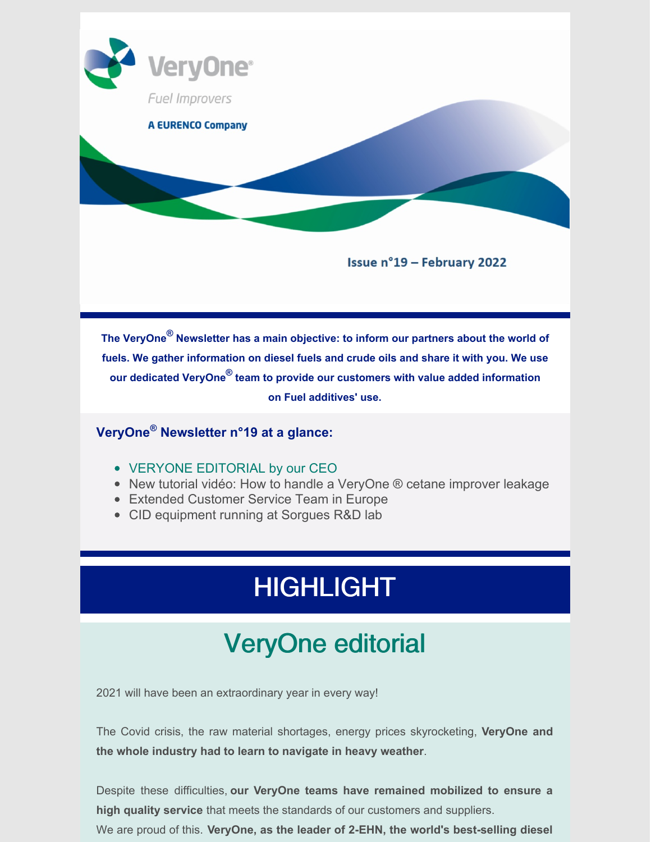

#### **A EURENCO Company**

Issue n°19 - February 2022

**The VeryOne ® Newsletter has a main objective: to inform our partners about the world of fuels. We gather information on diesel fuels and crude oils and share it with you. We use our dedicated VeryOne ® team to provide our customers with value added information on Fuel additives' use.**

#### **VeryOne ® Newsletter n°19 at a glance:**

- VERYONE EDITORIAL by our CEO
- New tutorial vidéo: How to handle a VeryOne ® cetane improver leakage
- Extended Customer Service Team in Europe
- CID equipment running at Sorgues R&D lab

# **HIGHLIGHT**

## VeryOne editorial

2021 will have been an extraordinary year in every way!

The Covid crisis, the raw material shortages, energy prices skyrocketing, **VeryOne and the whole industry had to learn to navigate in heavy weather**.

Despite these difficulties, **our VeryOne teams have remained mobilized to ensure a high quality service** that meets the standards of our customers and suppliers.

We are proud of this. **VeryOne, as the leader of 2-EHN, the world's best-selling diesel**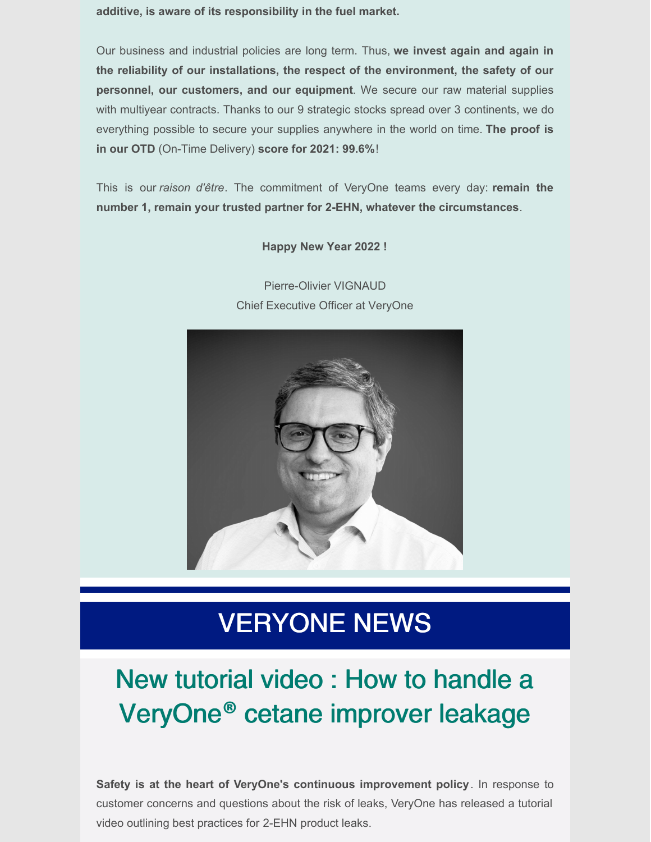**additive, is aware of its responsibility in the fuel market.**

Our business and industrial policies are long term. Thus, **we invest again and again in the reliability of our installations, the respect of the environment, the safety of our personnel, our customers, and our equipment**. We secure our raw material supplies with multiyear contracts. Thanks to our 9 strategic stocks spread over 3 continents, we do everything possible to secure your supplies anywhere in the world on time. **The proof is in our OTD** (On-Time Delivery) **score for 2021: 99.6%**!

This is our *raison d'être*. The commitment of VeryOne teams every day: **remain the number 1, remain your trusted partner for 2-EHN, whatever the circumstances**.

**Happy New Year 2022 !**

Pierre-Olivier VIGNAUD Chief Executive Officer at VeryOne



## VERYONE NEWS

# New tutorial video : How to handle a VeryOne**®** cetane improver leakage

**Safety is at the heart of VeryOne's continuous improvement policy**. In response to customer concerns and questions about the risk of leaks, VeryOne has released a tutorial video outlining best practices for 2-EHN product leaks.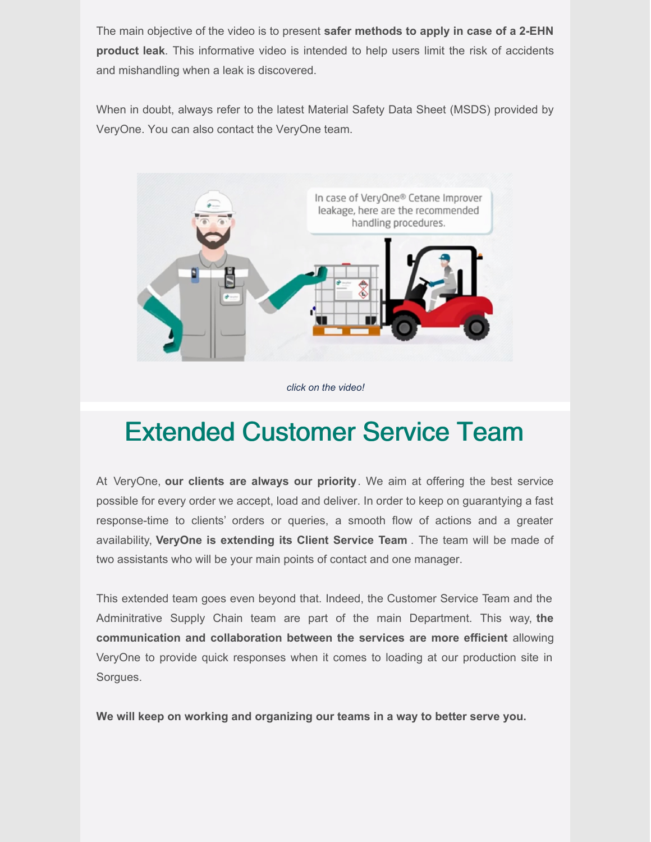The main objective of the video is to present **safer methods to apply in case of a 2-EHN product leak**. This informative video is intended to help users limit the risk of accidents and mishandling when a leak is discovered.

When in doubt, always refer to the latest Material Safety Data Sheet (MSDS) provided by VeryOne. You can also contact the VeryOne team.



#### *click on the video!*

### Extended Customer Service Team

At VeryOne, **our clients are always our priority**. We aim at offering the best service possible for every order we accept, load and deliver. In order to keep on guarantying a fast response-time to clients' orders or queries, a smooth flow of actions and a greater availability, **VeryOne is extending its Client Service Team** . The team will be made of two assistants who will be your main points of contact and one manager.

This extended team goes even beyond that. Indeed, the Customer Service Team and the Adminitrative Supply Chain team are part of the main Department. This way, **the communication and collaboration between the services are more efficient** allowing VeryOne to provide quick responses when it comes to loading at our production site in Sorgues.

**We will keep on working and organizing our teams in a way to better serve you.**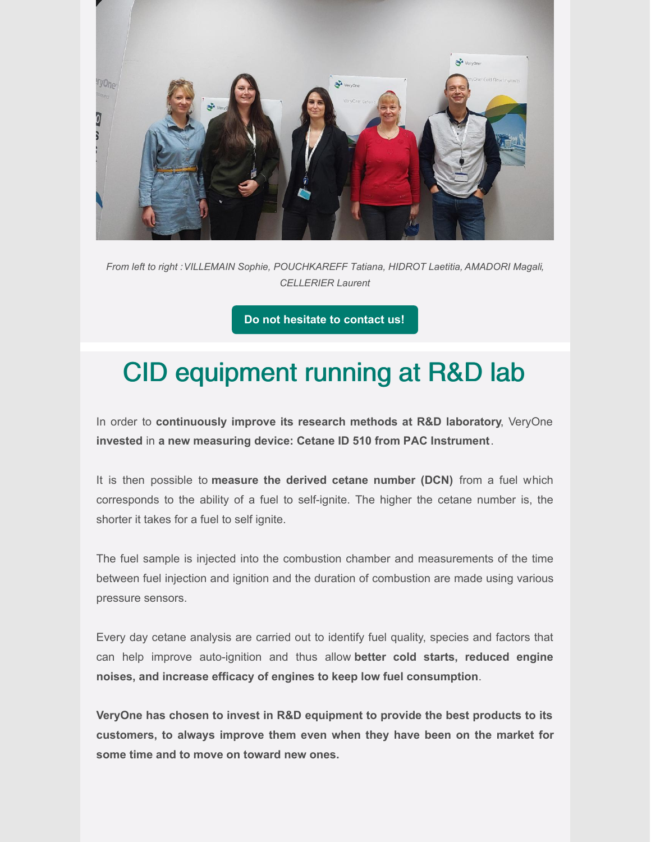

*From left to right :VILLEMAIN Sophie, POUCHKAREFF Tatiana, HIDROT Laetitia, AMADORI Magali, CELLERIER Laurent*

**Do not [hesitate](mailto:Info@veryone.com) to contact us!**

### CID equipment running at R&D lab

In order to **continuously improve its research methods at R&D laboratory**, VeryOne **invested** in **a new measuring device: Cetane ID 510 from PAC Instrument**.

It is then possible to **measure the derived cetane number (DCN)** from a fuel which corresponds to the ability of a fuel to self-ignite. The higher the cetane number is, the shorter it takes for a fuel to self ignite.

The fuel sample is injected into the combustion chamber and measurements of the time between fuel injection and ignition and the duration of combustion are made using various pressure sensors.

Every day cetane analysis are carried out to identify fuel quality, species and factors that can help improve auto-ignition and thus allow **better cold starts, reduced engine noises, and increase efficacy of engines to keep low fuel consumption**.

**VeryOne has chosen to invest in R&D equipment to provide the best products to its customers, to always improve them even when they have been on the market for some time and to move on toward new ones.**